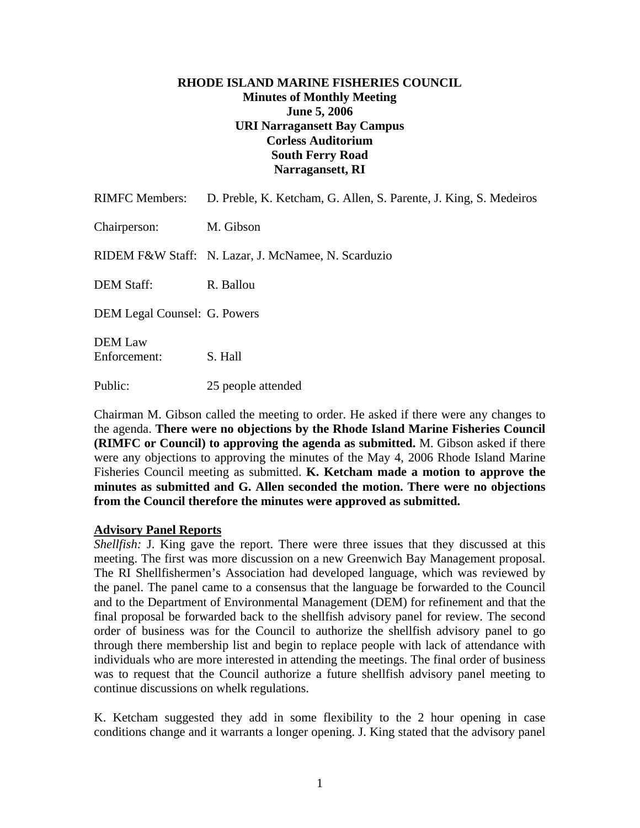## **RHODE ISLAND MARINE FISHERIES COUNCIL Minutes of Monthly Meeting June 5, 2006 URI Narragansett Bay Campus Corless Auditorium South Ferry Road Narragansett, RI**

| <b>RIMFC Members:</b>          | D. Preble, K. Ketcham, G. Allen, S. Parente, J. King, S. Medeiros |
|--------------------------------|-------------------------------------------------------------------|
| Chairperson:                   | M. Gibson                                                         |
|                                | RIDEM F&W Staff: N. Lazar, J. McNamee, N. Scarduzio               |
| <b>DEM Staff:</b>              | R. Ballou                                                         |
| DEM Legal Counsel: G. Powers   |                                                                   |
| <b>DEM Law</b><br>Enforcement: | S. Hall                                                           |
| Public:                        | 25 people attended                                                |

Chairman M. Gibson called the meeting to order. He asked if there were any changes to the agenda. **There were no objections by the Rhode Island Marine Fisheries Council (RIMFC or Council) to approving the agenda as submitted.** M. Gibson asked if there were any objections to approving the minutes of the May 4, 2006 Rhode Island Marine Fisheries Council meeting as submitted. **K. Ketcham made a motion to approve the minutes as submitted and G. Allen seconded the motion. There were no objections from the Council therefore the minutes were approved as submitted.** 

## **Advisory Panel Reports**

*Shellfish:* J. King gave the report. There were three issues that they discussed at this meeting. The first was more discussion on a new Greenwich Bay Management proposal. The RI Shellfishermen's Association had developed language, which was reviewed by the panel. The panel came to a consensus that the language be forwarded to the Council and to the Department of Environmental Management (DEM) for refinement and that the final proposal be forwarded back to the shellfish advisory panel for review. The second order of business was for the Council to authorize the shellfish advisory panel to go through there membership list and begin to replace people with lack of attendance with individuals who are more interested in attending the meetings. The final order of business was to request that the Council authorize a future shellfish advisory panel meeting to continue discussions on whelk regulations.

K. Ketcham suggested they add in some flexibility to the 2 hour opening in case conditions change and it warrants a longer opening. J. King stated that the advisory panel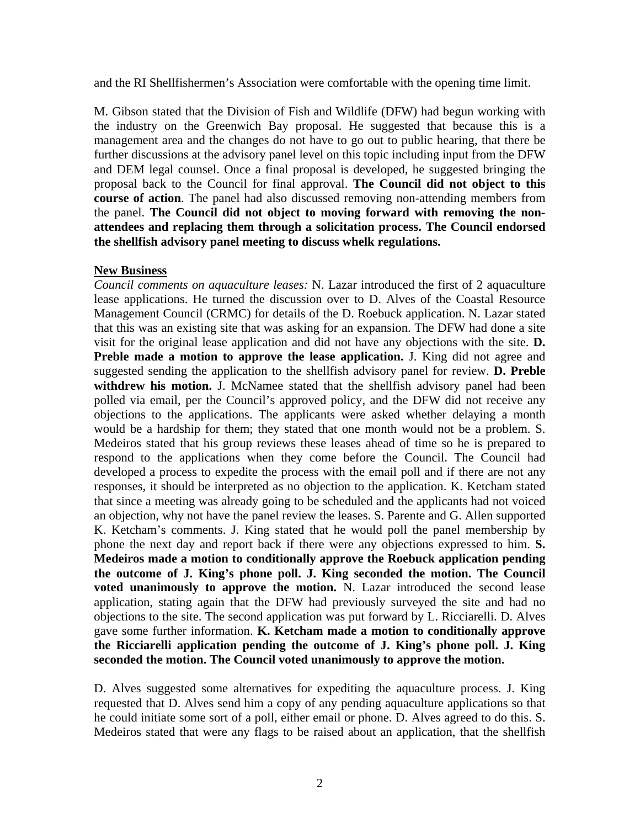and the RI Shellfishermen's Association were comfortable with the opening time limit.

M. Gibson stated that the Division of Fish and Wildlife (DFW) had begun working with the industry on the Greenwich Bay proposal. He suggested that because this is a management area and the changes do not have to go out to public hearing, that there be further discussions at the advisory panel level on this topic including input from the DFW and DEM legal counsel. Once a final proposal is developed, he suggested bringing the proposal back to the Council for final approval. **The Council did not object to this course of action**. The panel had also discussed removing non-attending members from the panel. **The Council did not object to moving forward with removing the nonattendees and replacing them through a solicitation process. The Council endorsed the shellfish advisory panel meeting to discuss whelk regulations.**

# **New Business**

*Council comments on aquaculture leases:* N. Lazar introduced the first of 2 aquaculture lease applications. He turned the discussion over to D. Alves of the Coastal Resource Management Council (CRMC) for details of the D. Roebuck application. N. Lazar stated that this was an existing site that was asking for an expansion. The DFW had done a site visit for the original lease application and did not have any objections with the site. **D. Preble made a motion to approve the lease application.** J. King did not agree and suggested sending the application to the shellfish advisory panel for review. **D. Preble**  withdrew his motion. J. McNamee stated that the shellfish advisory panel had been polled via email, per the Council's approved policy, and the DFW did not receive any objections to the applications. The applicants were asked whether delaying a month would be a hardship for them; they stated that one month would not be a problem. S. Medeiros stated that his group reviews these leases ahead of time so he is prepared to respond to the applications when they come before the Council. The Council had developed a process to expedite the process with the email poll and if there are not any responses, it should be interpreted as no objection to the application. K. Ketcham stated that since a meeting was already going to be scheduled and the applicants had not voiced an objection, why not have the panel review the leases. S. Parente and G. Allen supported K. Ketcham's comments. J. King stated that he would poll the panel membership by phone the next day and report back if there were any objections expressed to him. **S. Medeiros made a motion to conditionally approve the Roebuck application pending the outcome of J. King's phone poll. J. King seconded the motion. The Council voted unanimously to approve the motion.** N. Lazar introduced the second lease application, stating again that the DFW had previously surveyed the site and had no objections to the site. The second application was put forward by L. Ricciarelli. D. Alves gave some further information. **K. Ketcham made a motion to conditionally approve the Ricciarelli application pending the outcome of J. King's phone poll. J. King seconded the motion. The Council voted unanimously to approve the motion.**

D. Alves suggested some alternatives for expediting the aquaculture process. J. King requested that D. Alves send him a copy of any pending aquaculture applications so that he could initiate some sort of a poll, either email or phone. D. Alves agreed to do this. S. Medeiros stated that were any flags to be raised about an application, that the shellfish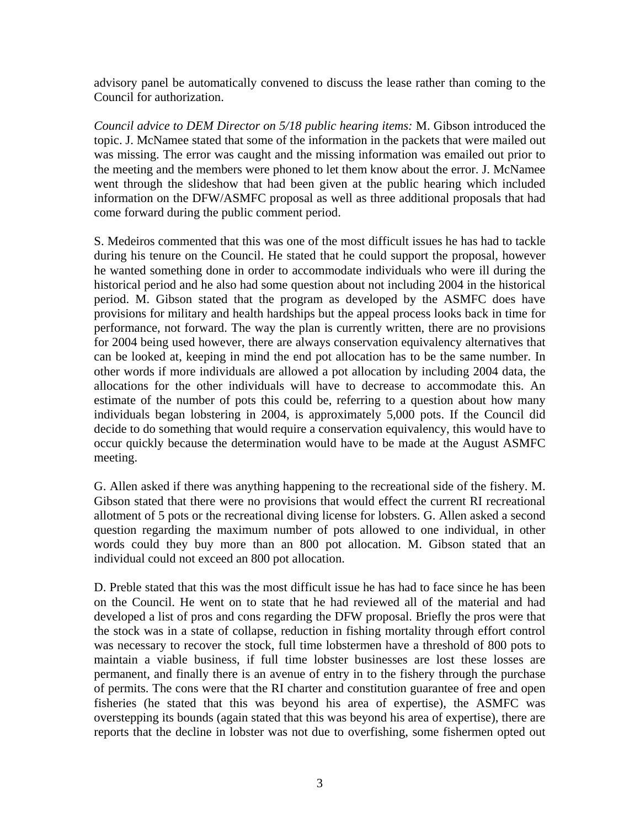advisory panel be automatically convened to discuss the lease rather than coming to the Council for authorization.

*Council advice to DEM Director on 5/18 public hearing items:* M. Gibson introduced the topic. J. McNamee stated that some of the information in the packets that were mailed out was missing. The error was caught and the missing information was emailed out prior to the meeting and the members were phoned to let them know about the error. J. McNamee went through the slideshow that had been given at the public hearing which included information on the DFW/ASMFC proposal as well as three additional proposals that had come forward during the public comment period.

S. Medeiros commented that this was one of the most difficult issues he has had to tackle during his tenure on the Council. He stated that he could support the proposal, however he wanted something done in order to accommodate individuals who were ill during the historical period and he also had some question about not including 2004 in the historical period. M. Gibson stated that the program as developed by the ASMFC does have provisions for military and health hardships but the appeal process looks back in time for performance, not forward. The way the plan is currently written, there are no provisions for 2004 being used however, there are always conservation equivalency alternatives that can be looked at, keeping in mind the end pot allocation has to be the same number. In other words if more individuals are allowed a pot allocation by including 2004 data, the allocations for the other individuals will have to decrease to accommodate this. An estimate of the number of pots this could be, referring to a question about how many individuals began lobstering in 2004, is approximately 5,000 pots. If the Council did decide to do something that would require a conservation equivalency, this would have to occur quickly because the determination would have to be made at the August ASMFC meeting.

G. Allen asked if there was anything happening to the recreational side of the fishery. M. Gibson stated that there were no provisions that would effect the current RI recreational allotment of 5 pots or the recreational diving license for lobsters. G. Allen asked a second question regarding the maximum number of pots allowed to one individual, in other words could they buy more than an 800 pot allocation. M. Gibson stated that an individual could not exceed an 800 pot allocation.

D. Preble stated that this was the most difficult issue he has had to face since he has been on the Council. He went on to state that he had reviewed all of the material and had developed a list of pros and cons regarding the DFW proposal. Briefly the pros were that the stock was in a state of collapse, reduction in fishing mortality through effort control was necessary to recover the stock, full time lobstermen have a threshold of 800 pots to maintain a viable business, if full time lobster businesses are lost these losses are permanent, and finally there is an avenue of entry in to the fishery through the purchase of permits. The cons were that the RI charter and constitution guarantee of free and open fisheries (he stated that this was beyond his area of expertise), the ASMFC was overstepping its bounds (again stated that this was beyond his area of expertise), there are reports that the decline in lobster was not due to overfishing, some fishermen opted out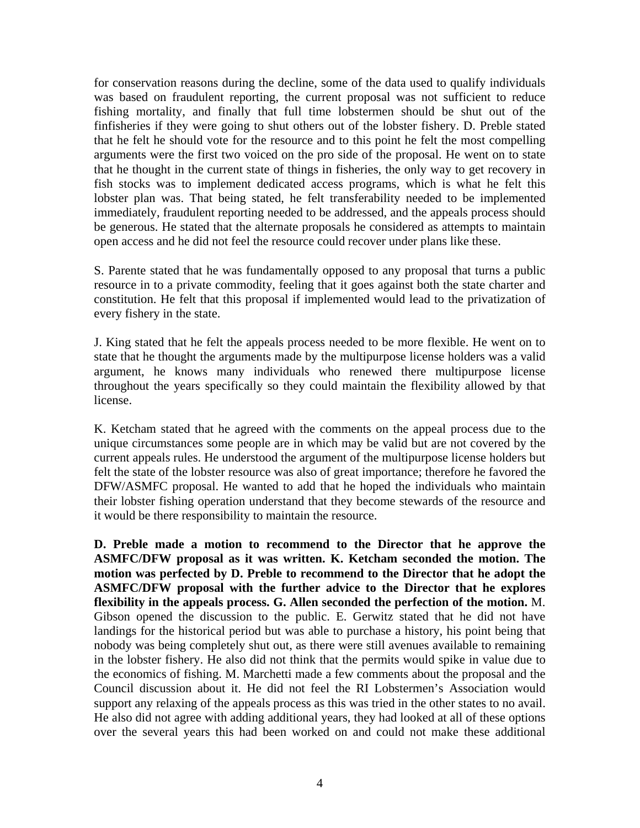for conservation reasons during the decline, some of the data used to qualify individuals was based on fraudulent reporting, the current proposal was not sufficient to reduce fishing mortality, and finally that full time lobstermen should be shut out of the finfisheries if they were going to shut others out of the lobster fishery. D. Preble stated that he felt he should vote for the resource and to this point he felt the most compelling arguments were the first two voiced on the pro side of the proposal. He went on to state that he thought in the current state of things in fisheries, the only way to get recovery in fish stocks was to implement dedicated access programs, which is what he felt this lobster plan was. That being stated, he felt transferability needed to be implemented immediately, fraudulent reporting needed to be addressed, and the appeals process should be generous. He stated that the alternate proposals he considered as attempts to maintain open access and he did not feel the resource could recover under plans like these.

S. Parente stated that he was fundamentally opposed to any proposal that turns a public resource in to a private commodity, feeling that it goes against both the state charter and constitution. He felt that this proposal if implemented would lead to the privatization of every fishery in the state.

J. King stated that he felt the appeals process needed to be more flexible. He went on to state that he thought the arguments made by the multipurpose license holders was a valid argument, he knows many individuals who renewed there multipurpose license throughout the years specifically so they could maintain the flexibility allowed by that license.

K. Ketcham stated that he agreed with the comments on the appeal process due to the unique circumstances some people are in which may be valid but are not covered by the current appeals rules. He understood the argument of the multipurpose license holders but felt the state of the lobster resource was also of great importance; therefore he favored the DFW/ASMFC proposal. He wanted to add that he hoped the individuals who maintain their lobster fishing operation understand that they become stewards of the resource and it would be there responsibility to maintain the resource.

**D. Preble made a motion to recommend to the Director that he approve the ASMFC/DFW proposal as it was written. K. Ketcham seconded the motion. The motion was perfected by D. Preble to recommend to the Director that he adopt the ASMFC/DFW proposal with the further advice to the Director that he explores flexibility in the appeals process. G. Allen seconded the perfection of the motion.** M. Gibson opened the discussion to the public. E. Gerwitz stated that he did not have landings for the historical period but was able to purchase a history, his point being that nobody was being completely shut out, as there were still avenues available to remaining in the lobster fishery. He also did not think that the permits would spike in value due to the economics of fishing. M. Marchetti made a few comments about the proposal and the Council discussion about it. He did not feel the RI Lobstermen's Association would support any relaxing of the appeals process as this was tried in the other states to no avail. He also did not agree with adding additional years, they had looked at all of these options over the several years this had been worked on and could not make these additional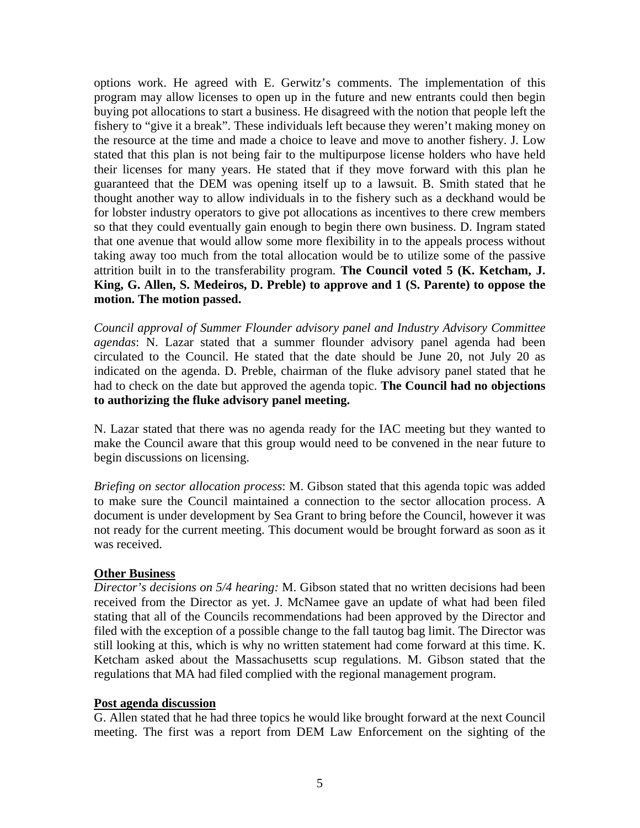options work. He agreed with E. Gerwitz's comments. The implementation of this program may allow licenses to open up in the future and new entrants could then begin buying pot allocations to start a business. He disagreed with the notion that people left the fishery to "give it a break". These individuals left because they weren't making money on the resource at the time and made a choice to leave and move to another fishery. J. Low stated that this plan is not being fair to the multipurpose license holders who have held their licenses for many years. He stated that if they move forward with this plan he guaranteed that the DEM was opening itself up to a lawsuit. B. Smith stated that he thought another way to allow individuals in to the fishery such as a deckhand would be for lobster industry operators to give pot allocations as incentives to there crew members so that they could eventually gain enough to begin there own business. D. Ingram stated that one avenue that would allow some more flexibility in to the appeals process without taking away too much from the total allocation would be to utilize some of the passive attrition built in to the transferability program. **The Council voted 5 (K. Ketcham, J. King, G. Allen, S. Medeiros, D. Preble) to approve and 1 (S. Parente) to oppose the motion. The motion passed.** 

*Council approval of Summer Flounder advisory panel and Industry Advisory Committee agendas*: N. Lazar stated that a summer flounder advisory panel agenda had been circulated to the Council. He stated that the date should be June 20, not July 20 as indicated on the agenda. D. Preble, chairman of the fluke advisory panel stated that he had to check on the date but approved the agenda topic. **The Council had no objections to authorizing the fluke advisory panel meeting.** 

N. Lazar stated that there was no agenda ready for the IAC meeting but they wanted to make the Council aware that this group would need to be convened in the near future to begin discussions on licensing.

*Briefing on sector allocation process*: M. Gibson stated that this agenda topic was added to make sure the Council maintained a connection to the sector allocation process. A document is under development by Sea Grant to bring before the Council, however it was not ready for the current meeting. This document would be brought forward as soon as it was received.

## **Other Business**

*Director's decisions on 5/4 hearing:* M. Gibson stated that no written decisions had been received from the Director as yet. J. McNamee gave an update of what had been filed stating that all of the Councils recommendations had been approved by the Director and filed with the exception of a possible change to the fall tautog bag limit. The Director was still looking at this, which is why no written statement had come forward at this time. K. Ketcham asked about the Massachusetts scup regulations. M. Gibson stated that the regulations that MA had filed complied with the regional management program.

#### **Post agenda discussion**

G. Allen stated that he had three topics he would like brought forward at the next Council meeting. The first was a report from DEM Law Enforcement on the sighting of the